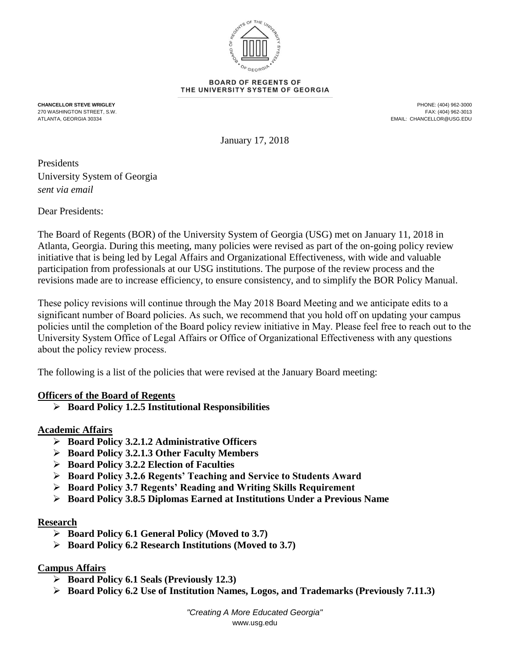

#### **BOARD OF REGENTS OF** THE UNIVERSITY SYSTEM OF GEORGIA

**CHANCELLOR STEVE WRIGLEY** PHONE: (404) 962-3000 270 WASHINGTON STREET, S.W. FAX: (404) 962-3013 EMAIL: CHANCELLOR@USG.EDU

January 17, 2018

# Presidents University System of Georgia *sent via email*

Dear Presidents:

The Board of Regents (BOR) of the University System of Georgia (USG) met on January 11, 2018 in Atlanta, Georgia. During this meeting, many policies were revised as part of the on-going policy review initiative that is being led by Legal Affairs and Organizational Effectiveness, with wide and valuable participation from professionals at our USG institutions. The purpose of the review process and the revisions made are to increase efficiency, to ensure consistency, and to simplify the BOR Policy Manual.

These policy revisions will continue through the May 2018 Board Meeting and we anticipate edits to a significant number of Board policies. As such, we recommend that you hold off on updating your campus policies until the completion of the Board policy review initiative in May. Please feel free to reach out to the University System Office of Legal Affairs or Office of Organizational Effectiveness with any questions about the policy review process.

The following is a list of the policies that were revised at the January Board meeting:

### **Officers of the Board of Regents**

**Board Policy 1.2.5 Institutional Responsibilities**

### **Academic Affairs**

- **Board Policy 3.2.1.2 Administrative Officers**
- **Board Policy 3.2.1.3 Other Faculty Members**
- **Board Policy 3.2.2 Election of Faculties**
- **Board Policy 3.2.6 Regents' Teaching and Service to Students Award**
- **Board Policy 3.7 Regents' Reading and Writing Skills Requirement**
- **Board Policy 3.8.5 Diplomas Earned at Institutions Under a Previous Name**

### **Research**

- **Board Policy 6.1 General Policy (Moved to 3.7)**
- **Board Policy 6.2 Research Institutions (Moved to 3.7)**

### **Campus Affairs**

- **Board Policy 6.1 Seals (Previously 12.3)**
- **Board Policy 6.2 Use of Institution Names, Logos, and Trademarks (Previously 7.11.3)**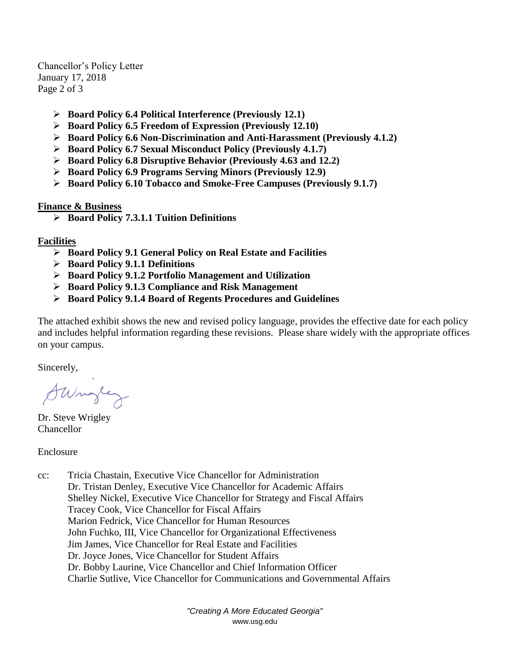Chancellor's Policy Letter January 17, 2018 Page 2 of 3

- **Board Policy 6.4 Political Interference (Previously 12.1)**
- **Board Policy 6.5 Freedom of Expression (Previously 12.10)**
- **Board Policy 6.6 Non-Discrimination and Anti-Harassment (Previously 4.1.2)**
- **Board Policy 6.7 Sexual Misconduct Policy (Previously 4.1.7)**
- **Board Policy 6.8 Disruptive Behavior (Previously 4.63 and 12.2)**
- **Board Policy 6.9 Programs Serving Minors (Previously 12.9)**
- **Board Policy 6.10 Tobacco and Smoke-Free Campuses (Previously 9.1.7)**

### **Finance & Business**

**Board Policy 7.3.1.1 Tuition Definitions**

### **Facilities**

- **Board Policy 9.1 General Policy on Real Estate and Facilities**
- **Board Policy 9.1.1 Definitions**
- **Board Policy 9.1.2 Portfolio Management and Utilization**
- **Board Policy 9.1.3 Compliance and Risk Management**
- **Board Policy 9.1.4 Board of Regents Procedures and Guidelines**

The attached exhibit shows the new and revised policy language, provides the effective date for each policy and includes helpful information regarding these revisions. Please share widely with the appropriate offices on your campus.

Sincerely,

Surgey

Dr. Steve Wrigley Chancellor

Enclosure

cc: Tricia Chastain, Executive Vice Chancellor for Administration Dr. Tristan Denley, Executive Vice Chancellor for Academic Affairs Shelley Nickel, Executive Vice Chancellor for Strategy and Fiscal Affairs Tracey Cook, Vice Chancellor for Fiscal Affairs Marion Fedrick, Vice Chancellor for Human Resources John Fuchko, III, Vice Chancellor for Organizational Effectiveness Jim James, Vice Chancellor for Real Estate and Facilities Dr. Joyce Jones, Vice Chancellor for Student Affairs Dr. Bobby Laurine, Vice Chancellor and Chief Information Officer Charlie Sutlive, Vice Chancellor for Communications and Governmental Affairs

> *"Creating A More Educated Georgia"* www.usg.edu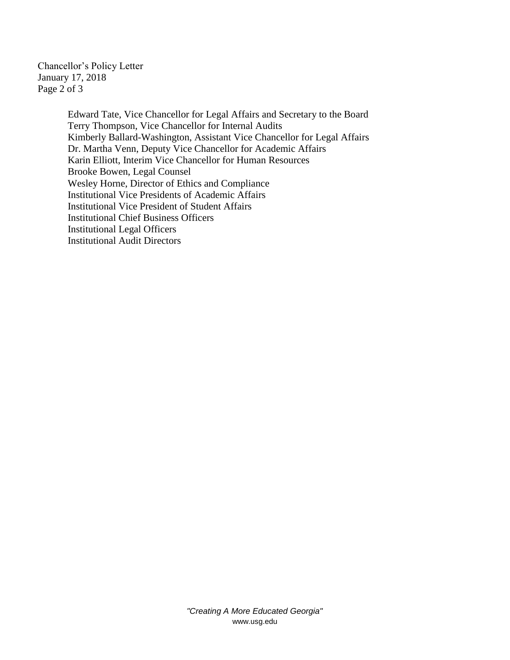Chancellor's Policy Letter January 17, 2018 Page 2 of 3

> Edward Tate, Vice Chancellor for Legal Affairs and Secretary to the Board Terry Thompson, Vice Chancellor for Internal Audits Kimberly Ballard-Washington, Assistant Vice Chancellor for Legal Affairs Dr. Martha Venn, Deputy Vice Chancellor for Academic Affairs Karin Elliott, Interim Vice Chancellor for Human Resources Brooke Bowen, Legal Counsel Wesley Horne, Director of Ethics and Compliance Institutional Vice Presidents of Academic Affairs Institutional Vice President of Student Affairs Institutional Chief Business Officers Institutional Legal Officers Institutional Audit Directors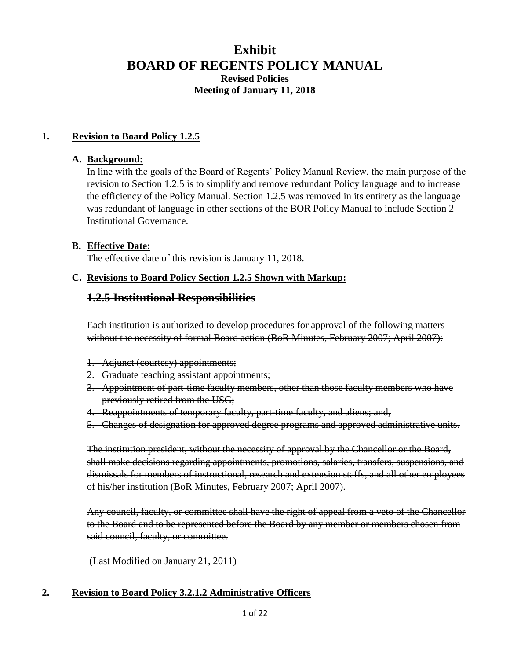# **Exhibit BOARD OF REGENTS POLICY MANUAL Revised Policies Meeting of January 11, 2018**

### **1. Revision to Board Policy 1.2.5**

#### **A. Background:**

In line with the goals of the Board of Regents' Policy Manual Review, the main purpose of the revision to Section 1.2.5 is to simplify and remove redundant Policy language and to increase the efficiency of the Policy Manual. Section 1.2.5 was removed in its entirety as the language was redundant of language in other sections of the BOR Policy Manual to include Section 2 Institutional Governance.

### **B. Effective Date:**

The effective date of this revision is January 11, 2018.

### **C. Revisions to Board Policy Section 1.2.5 Shown with Markup:**

### **1.2.5 Institutional Responsibilities**

Each institution is authorized to develop procedures for approval of the following matters without the necessity of formal Board action (BoR Minutes, February 2007; April 2007):

- 1. Adjunct (courtesy) appointments;
- 2. Graduate teaching assistant appointments;
- 3. Appointment of part-time faculty members, other than those faculty members who have previously retired from the USG;
- 4. Reappointments of temporary faculty, part-time faculty, and aliens; and,
- 5. Changes of designation for approved degree programs and approved administrative units.

The institution president, without the necessity of approval by the Chancellor or the Board, shall make decisions regarding appointments, promotions, salaries, transfers, suspensions, and dismissals for members of instructional, research and extension staffs, and all other employees of his/her institution (BoR Minutes, February 2007; April 2007).

Any council, faculty, or committee shall have the right of appeal from a veto of the Chancellor to the Board and to be represented before the Board by any member or members chosen from said council, faculty, or committee.

(Last Modified on January 21, 2011)

### **2. Revision to Board Policy 3.2.1.2 Administrative Officers**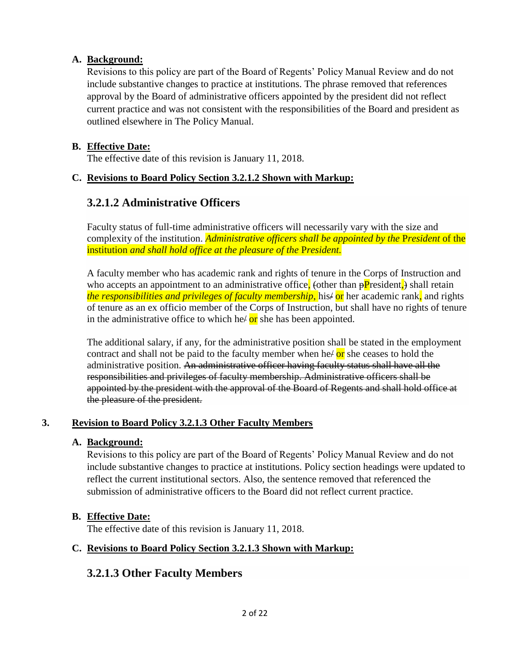## **A. Background:**

Revisions to this policy are part of the Board of Regents' Policy Manual Review and do not include substantive changes to practice at institutions. The phrase removed that references approval by the Board of administrative officers appointed by the president did not reflect current practice and was not consistent with the responsibilities of the Board and president as outlined elsewhere in The Policy Manual.

## **B. Effective Date:**

The effective date of this revision is January 11, 2018.

## **C. Revisions to Board Policy Section 3.2.1.2 Shown with Markup:**

# **3.2.1.2 Administrative Officers**

Faculty status of full-time administrative officers will necessarily vary with the size and complexity of the institution. *Administrative officers shall be appointed by the* P*resident* of the institution *and shall hold office at the pleasure of the* P*resident.*

A faculty member who has academic rank and rights of tenure in the Corps of Instruction and who accepts an appointment to an administrative office, (other than  $\frac{p}{p}$  resident,) shall retain *the responsibilities and privileges of faculty membership*, his/ or her academic rank, and rights of tenure as an ex officio member of the Corps of Instruction, but shall have no rights of tenure in the administrative office to which he  $\sigma$  she has been appointed.

The additional salary, if any, for the administrative position shall be stated in the employment contract and shall not be paid to the faculty member when he $\alpha$  or she ceases to hold the administrative position. An administrative officer having faculty status shall have all the responsibilities and privileges of faculty membership. Administrative officers shall be appointed by the president with the approval of the Board of Regents and shall hold office at the pleasure of the president.

## **3. Revision to Board Policy 3.2.1.3 Other Faculty Members**

## **A. Background:**

Revisions to this policy are part of the Board of Regents' Policy Manual Review and do not include substantive changes to practice at institutions. Policy section headings were updated to reflect the current institutional sectors. Also, the sentence removed that referenced the submission of administrative officers to the Board did not reflect current practice.

## **B. Effective Date:**

The effective date of this revision is January 11, 2018.

## **C. Revisions to Board Policy Section 3.2.1.3 Shown with Markup:**

# **3.2.1.3 Other Faculty Members**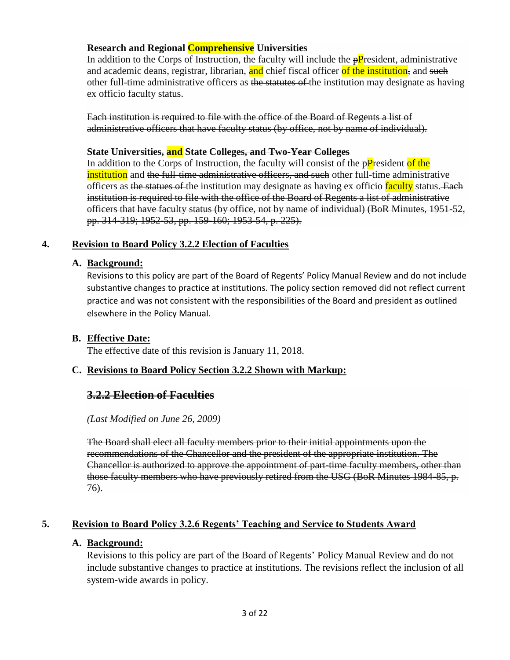## **Research and Regional Comprehensive Universities**

In addition to the Corps of Instruction, the faculty will include the  $\frac{p}{p}$  resident, administrative and academic deans, registrar, librarian, and chief fiscal officer of the institution, and such other full-time administrative officers as the statutes of the institution may designate as having ex officio faculty status.

Each institution is required to file with the office of the Board of Regents a list of administrative officers that have faculty status (by office, not by name of individual).

### **State Universities, and State Colleges, and Two-Year Colleges**

In addition to the Corps of Instruction, the faculty will consist of the  $\frac{pP}{r}$  resident of the institution and the full-time administrative officers, and such other full-time administrative officers as the statues of the institution may designate as having ex officio faculty status. Each institution is required to file with the office of the Board of Regents a list of administrative officers that have faculty status (by office, not by name of individual) (BoR Minutes, 1951-52, pp. 314-319; 1952-53, pp. 159-160; 1953-54, p. 225).

## **4. Revision to Board Policy 3.2.2 Election of Faculties**

## **A. Background:**

Revisions to this policy are part of the Board of Regents' Policy Manual Review and do not include substantive changes to practice at institutions. The policy section removed did not reflect current practice and was not consistent with the responsibilities of the Board and president as outlined elsewhere in the Policy Manual.

## **B. Effective Date:**

The effective date of this revision is January 11, 2018.

## **C. Revisions to Board Policy Section 3.2.2 Shown with Markup:**

## **3.2.2 Election of Faculties**

### *(Last Modified on June 26, 2009)*

The Board shall elect all faculty members prior to their initial appointments upon the recommendations of the Chancellor and the president of the appropriate institution. The Chancellor is authorized to approve the appointment of part-time faculty members, other than those faculty members who have previously retired from the USG (BoR Minutes 1984-85, p. 76).

## **5. Revision to Board Policy 3.2.6 Regents' Teaching and Service to Students Award**

### **A. Background:**

Revisions to this policy are part of the Board of Regents' Policy Manual Review and do not include substantive changes to practice at institutions. The revisions reflect the inclusion of all system-wide awards in policy.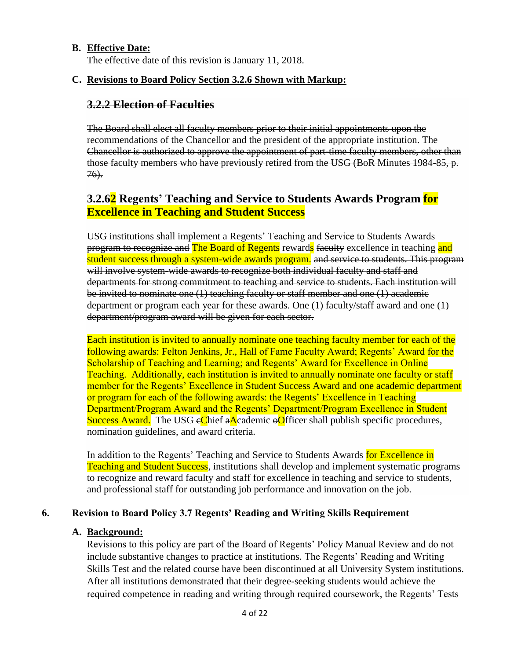### **B. Effective Date:**

The effective date of this revision is January 11, 2018.

### **C. Revisions to Board Policy Section 3.2.6 Shown with Markup:**

### **3.2.2 Election of Faculties**

The Board shall elect all faculty members prior to their initial appointments upon the recommendations of the Chancellor and the president of the appropriate institution. The Chancellor is authorized to approve the appointment of part-time faculty members, other than those faculty members who have previously retired from the USG (BoR Minutes 1984-85, p. 76).

# **3.2.62 Regents' Teaching and Service to Students Awards Program for Excellence in Teaching and Student Success**

USG institutions shall implement a Regents' Teaching and Service to Students Awards program to recognize and The Board of Regents rewards faculty excellence in teaching and student success through a system-wide awards program. and service to students. This program will involve system-wide awards to recognize both individual faculty and staff and departments for strong commitment to teaching and service to students. Each institution will be invited to nominate one (1) teaching faculty or staff member and one (1) academic department or program each year for these awards. One (1) faculty/staff award and one (1) department/program award will be given for each sector.

Each institution is invited to annually nominate one teaching faculty member for each of the following awards: Felton Jenkins, Jr., Hall of Fame Faculty Award; Regents' Award for the Scholarship of Teaching and Learning; and Regents' Award for Excellence in Online Teaching. Additionally, each institution is invited to annually nominate one faculty or staff member for the Regents' Excellence in Student Success Award and one academic department or program for each of the following awards: the Regents' Excellence in Teaching Department/Program Award and the Regents' Department/Program Excellence in Student Success Award. The USG eChief aAcademic  $\Theta$ Officer shall publish specific procedures, nomination guidelines, and award criteria.

In addition to the Regents' <del>Teaching and Service to Students</del> Awards for Excellence in Teaching and Student Success, institutions shall develop and implement systematic programs to recognize and reward faculty and staff for excellence in teaching and service to students, and professional staff for outstanding job performance and innovation on the job.

### **6. Revision to Board Policy 3.7 Regents' Reading and Writing Skills Requirement**

#### **A. Background:**

Revisions to this policy are part of the Board of Regents' Policy Manual Review and do not include substantive changes to practice at institutions. The Regents' Reading and Writing Skills Test and the related course have been discontinued at all University System institutions. After all institutions demonstrated that their degree-seeking students would achieve the required competence in reading and writing through required coursework, the Regents' Tests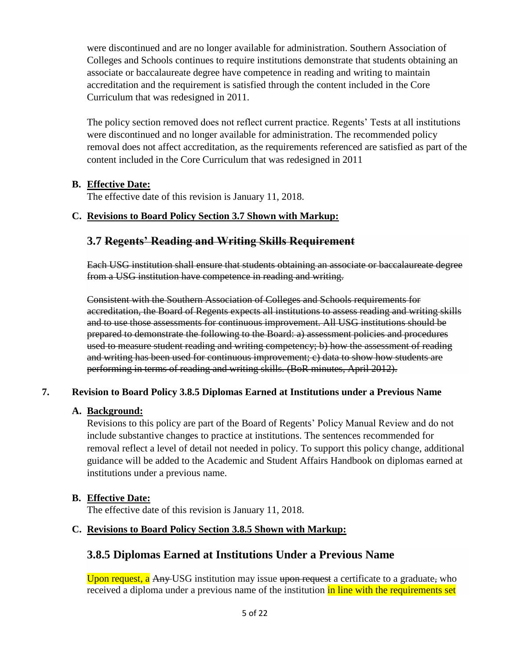were discontinued and are no longer available for administration. Southern Association of Colleges and Schools continues to require institutions demonstrate that students obtaining an associate or baccalaureate degree have competence in reading and writing to maintain accreditation and the requirement is satisfied through the content included in the Core Curriculum that was redesigned in 2011.

The policy section removed does not reflect current practice. Regents' Tests at all institutions were discontinued and no longer available for administration. The recommended policy removal does not affect accreditation, as the requirements referenced are satisfied as part of the content included in the Core Curriculum that was redesigned in 2011

## **B. Effective Date:**

The effective date of this revision is January 11, 2018.

## **C. Revisions to Board Policy Section 3.7 Shown with Markup:**

# **3.7 Regents' Reading and Writing Skills Requirement**

Each USG institution shall ensure that students obtaining an associate or baccalaureate degree from a USG institution have competence in reading and writing.

Consistent with the Southern Association of Colleges and Schools requirements for accreditation, the Board of Regents expects all institutions to assess reading and writing skills and to use those assessments for continuous improvement. All USG institutions should be prepared to demonstrate the following to the Board: a) assessment policies and procedures used to measure student reading and writing competency; b) how the assessment of reading and writing has been used for continuous improvement; c) data to show how students are performing in terms of reading and writing skills. (BoR minutes, April 2012).

## **7. Revision to Board Policy 3.8.5 Diplomas Earned at Institutions under a Previous Name**

## **A. Background:**

Revisions to this policy are part of the Board of Regents' Policy Manual Review and do not include substantive changes to practice at institutions. The sentences recommended for removal reflect a level of detail not needed in policy. To support this policy change, additional guidance will be added to the Academic and Student Affairs Handbook on diplomas earned at institutions under a previous name.

## **B. Effective Date:**

The effective date of this revision is January 11, 2018.

## **C. Revisions to Board Policy Section 3.8.5 Shown with Markup:**

# **3.8.5 Diplomas Earned at Institutions Under a Previous Name**

Upon request, a Any USG institution may issue upon request a certificate to a graduate, who received a diploma under a previous name of the institution in line with the requirements set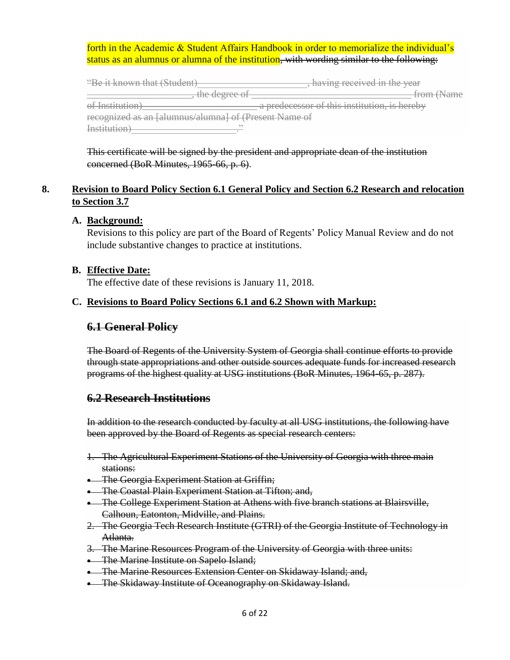### forth in the Academic & Student Affairs Handbook in order to memorialize the individual's status as an alumnus or alumna of the institution, with wording similar to the following:

| "Be it known that (Student)                           | having received in the year                  |
|-------------------------------------------------------|----------------------------------------------|
| the decree of<br><del>the degree or</del>             | from (Name                                   |
| of Institution<br><del>ui msuuuun</del>               | a predecessor of this institution, is hereby |
| recognized as an [alumnus/alumna] of (Present Name of |                                              |
|                                                       |                                              |

This certificate will be signed by the president and appropriate dean of the institution concerned (BoR Minutes, 1965-66, p. 6).

## **8. Revision to Board Policy Section 6.1 General Policy and Section 6.2 Research and relocation to Section 3.7**

### **A. Background:**

Revisions to this policy are part of the Board of Regents' Policy Manual Review and do not include substantive changes to practice at institutions.

### **B. Effective Date:**

The effective date of these revisions is January 11, 2018.

### **C. Revisions to Board Policy Sections 6.1 and 6.2 Shown with Markup:**

## **6.1 General Policy**

The Board of Regents of the University System of Georgia shall continue efforts to provide through state appropriations and other outside sources adequate funds for increased research programs of the highest quality at USG institutions (BoR Minutes, 1964-65, p. 287).

## **6.2 Research Institutions**

In addition to the research conducted by faculty at all USG institutions, the following have been approved by the Board of Regents as special research centers:

- 1. The Agricultural Experiment Stations of the University of Georgia with three main stations:
- The Georgia Experiment Station at Griffin;
- **•** The Coastal Plain Experiment Station at Tifton; and,
- **The College Experiment Station at Athens with five branch stations at Blairsville,** Calhoun, Eatonton, Midville, and Plains.
- 2. The Georgia Tech Research Institute (GTRI) of the Georgia Institute of Technology in Atlanta.
- 3. The Marine Resources Program of the University of Georgia with three units:
- **•** The Marine Institute on Sapelo Island;
- **The Marine Resources Extension Center on Skidaway Island; and,**
- The Skidaway Institute of Oceanography on Skidaway Island.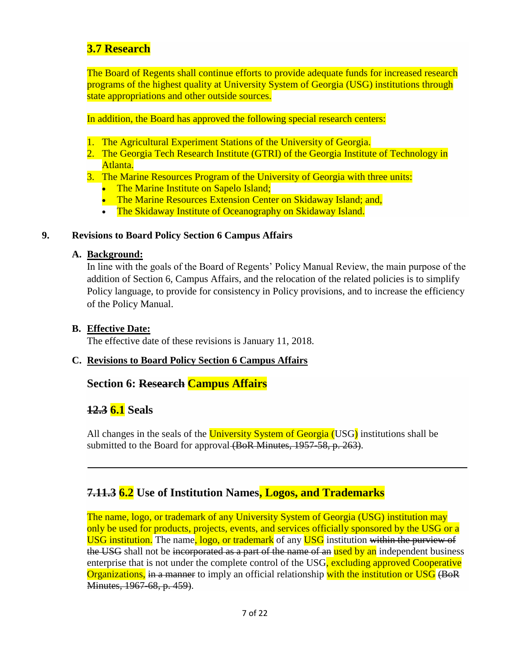# **3.7 Research**

The Board of Regents shall continue efforts to provide adequate funds for increased research programs of the highest quality at University System of Georgia (USG) institutions through state appropriations and other outside sources.

In addition, the Board has approved the following special research centers:

- 1. The Agricultural Experiment Stations of the University of Georgia.
- 2. The Georgia Tech Research Institute (GTRI) of the Georgia Institute of Technology in Atlanta.

3. The Marine Resources Program of the University of Georgia with three units:

- The Marine Institute on Sapelo Island;
- The Marine Resources Extension Center on Skidaway Island; and,
- The Skidaway Institute of Oceanography on Skidaway Island.

## **9. Revisions to Board Policy Section 6 Campus Affairs**

## **A. Background:**

In line with the goals of the Board of Regents' Policy Manual Review, the main purpose of the addition of Section 6, Campus Affairs, and the relocation of the related policies is to simplify Policy language, to provide for consistency in Policy provisions, and to increase the efficiency of the Policy Manual.

## **B. Effective Date:**

The effective date of these revisions is January 11, 2018.

## **C. Revisions to Board Policy Section 6 Campus Affairs**

## **Section 6: Research Campus Affairs**

# **12.3 6.1 Seals**

All changes in the seals of the University System of Georgia (USG) institutions shall be submitted to the Board for approval (BoR Minutes, 1957-58, p. 263).

# **7.11.3 6.2 Use of Institution Names, Logos, and Trademarks**

The name, logo, or trademark of any University System of Georgia (USG) institution may only be used for products, projects, events, and services officially sponsored by the USG or a USG institution. The name, logo, or trademark of any USG institution within the purview of the USG shall not be incorporated as a part of the name of an used by an independent business enterprise that is not under the complete control of the USG, excluding approved Cooperative Organizations, in a manner to imply an official relationship with the institution or USG (BoR Minutes, 1967-68, p. 459).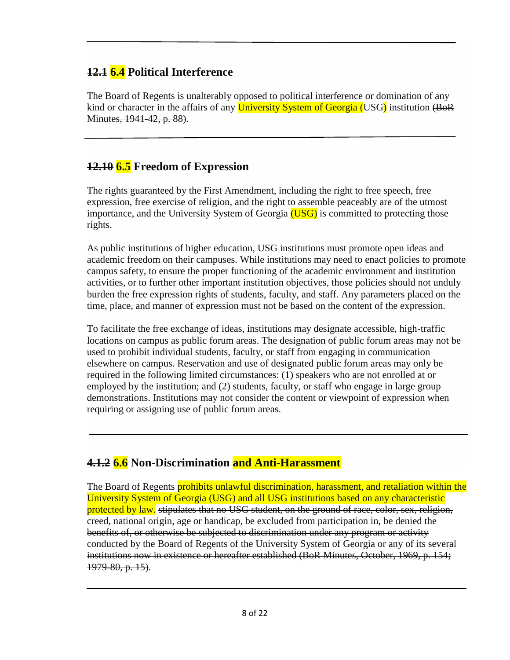# **12.1 6.4 Political Interference**

The Board of Regents is unalterably opposed to political interference or domination of any kind or character in the affairs of any University System of Georgia (USG) institution (BoR Minutes, 1941-42, p. 88).

# **12.10 6.5 Freedom of Expression**

The rights guaranteed by the First Amendment, including the right to free speech, free expression, free exercise of religion, and the right to assemble peaceably are of the utmost importance, and the University System of Georgia  $(USG)$  is committed to protecting those rights.

As public institutions of higher education, USG institutions must promote open ideas and academic freedom on their campuses. While institutions may need to enact policies to promote campus safety, to ensure the proper functioning of the academic environment and institution activities, or to further other important institution objectives, those policies should not unduly burden the free expression rights of students, faculty, and staff. Any parameters placed on the time, place, and manner of expression must not be based on the content of the expression.

To facilitate the free exchange of ideas, institutions may designate accessible, high-traffic locations on campus as public forum areas. The designation of public forum areas may not be used to prohibit individual students, faculty, or staff from engaging in communication elsewhere on campus. Reservation and use of designated public forum areas may only be required in the following limited circumstances: (1) speakers who are not enrolled at or employed by the institution; and (2) students, faculty, or staff who engage in large group demonstrations. Institutions may not consider the content or viewpoint of expression when requiring or assigning use of public forum areas.

# **4.1.2 6.6 Non-Discrimination and Anti-Harassment**

The Board of Regents **prohibits unlawful discrimination, harassment, and retaliation within the** University System of Georgia (USG) and all USG institutions based on any characteristic protected by law. stipulates that no USG student, on the ground of race, color, sex, religion, creed, national origin, age or handicap, be excluded from participation in, be denied the benefits of, or otherwise be subjected to discrimination under any program or activity conducted by the Board of Regents of the University System of Georgia or any of its several institutions now in existence or hereafter established (BoR Minutes, October, 1969, p. 154; 1979-80, p. 15).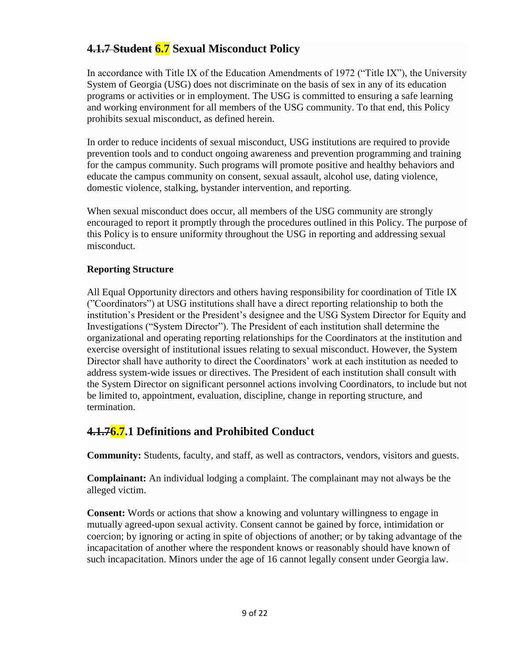# **4.1.7 Student 6.7 Sexual Misconduct Policy**

In accordance with Title IX of the Education Amendments of 1972 ("Title IX"), the University System of Georgia (USG) does not discriminate on the basis of sex in any of its education programs or activities or in employment. The USG is committed to ensuring a safe learning and working environment for all members of the USG community. To that end, this Policy prohibits sexual misconduct, as defined herein.

In order to reduce incidents of sexual misconduct, USG institutions are required to provide prevention tools and to conduct ongoing awareness and prevention programming and training for the campus community. Such programs will promote positive and healthy behaviors and educate the campus community on consent, sexual assault, alcohol use, dating violence, domestic violence, stalking, bystander intervention, and reporting.

When sexual misconduct does occur, all members of the USG community are strongly encouraged to report it promptly through the procedures outlined in this Policy. The purpose of this Policy is to ensure uniformity throughout the USG in reporting and addressing sexual misconduct.

## **Reporting Structure**

All Equal Opportunity directors and others having responsibility for coordination of Title IX ("Coordinators") at USG institutions shall have a direct reporting relationship to both the institution's President or the President's designee and the USG System Director for Equity and Investigations ("System Director"). The President of each institution shall determine the organizational and operating reporting relationships for the Coordinators at the institution and exercise oversight of institutional issues relating to sexual misconduct. However, the System Director shall have authority to direct the Coordinators' work at each institution as needed to address system-wide issues or directives. The President of each institution shall consult with the System Director on significant personnel actions involving Coordinators, to include but not be limited to, appointment, evaluation, discipline, change in reporting structure, and termination.

# **4.1.76.7.1 Definitions and Prohibited Conduct**

**Community:** Students, faculty, and staff, as well as contractors, vendors, visitors and guests.

**Complainant:** An individual lodging a complaint. The complainant may not always be the alleged victim.

**Consent:** Words or actions that show a knowing and voluntary willingness to engage in mutually agreed-upon sexual activity. Consent cannot be gained by force, intimidation or coercion; by ignoring or acting in spite of objections of another; or by taking advantage of the incapacitation of another where the respondent knows or reasonably should have known of such incapacitation. Minors under the age of 16 cannot legally consent under Georgia law.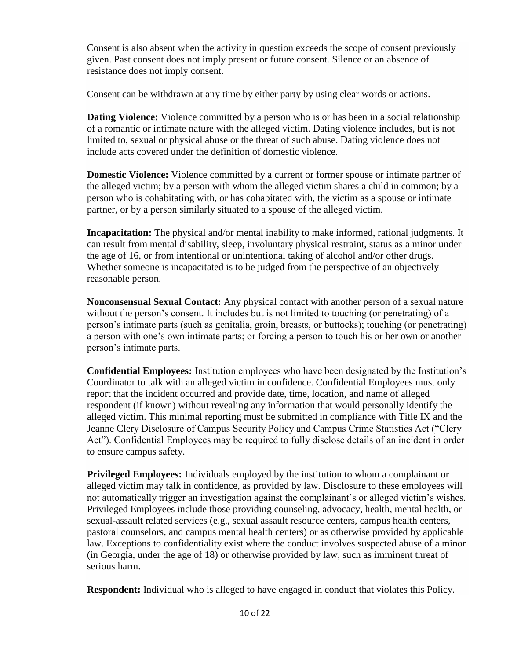Consent is also absent when the activity in question exceeds the scope of consent previously given. Past consent does not imply present or future consent. Silence or an absence of resistance does not imply consent.

Consent can be withdrawn at any time by either party by using clear words or actions.

**Dating Violence:** Violence committed by a person who is or has been in a social relationship of a romantic or intimate nature with the alleged victim. Dating violence includes, but is not limited to, sexual or physical abuse or the threat of such abuse. Dating violence does not include acts covered under the definition of domestic violence.

**Domestic Violence:** Violence committed by a current or former spouse or intimate partner of the alleged victim; by a person with whom the alleged victim shares a child in common; by a person who is cohabitating with, or has cohabitated with, the victim as a spouse or intimate partner, or by a person similarly situated to a spouse of the alleged victim.

**Incapacitation:** The physical and/or mental inability to make informed, rational judgments. It can result from mental disability, sleep, involuntary physical restraint, status as a minor under the age of 16, or from intentional or unintentional taking of alcohol and/or other drugs. Whether someone is incapacitated is to be judged from the perspective of an objectively reasonable person.

**Nonconsensual Sexual Contact:** Any physical contact with another person of a sexual nature without the person's consent. It includes but is not limited to touching (or penetrating) of a person's intimate parts (such as genitalia, groin, breasts, or buttocks); touching (or penetrating) a person with one's own intimate parts; or forcing a person to touch his or her own or another person's intimate parts.

**Confidential Employees:** Institution employees who have been designated by the Institution's Coordinator to talk with an alleged victim in confidence. Confidential Employees must only report that the incident occurred and provide date, time, location, and name of alleged respondent (if known) without revealing any information that would personally identify the alleged victim. This minimal reporting must be submitted in compliance with Title IX and the Jeanne Clery Disclosure of Campus Security Policy and Campus Crime Statistics Act ("Clery Act"). Confidential Employees may be required to fully disclose details of an incident in order to ensure campus safety.

**Privileged Employees:** Individuals employed by the institution to whom a complainant or alleged victim may talk in confidence, as provided by law. Disclosure to these employees will not automatically trigger an investigation against the complainant's or alleged victim's wishes. Privileged Employees include those providing counseling, advocacy, health, mental health, or sexual-assault related services (e.g., sexual assault resource centers, campus health centers, pastoral counselors, and campus mental health centers) or as otherwise provided by applicable law. Exceptions to confidentiality exist where the conduct involves suspected abuse of a minor (in Georgia, under the age of 18) or otherwise provided by law, such as imminent threat of serious harm.

**Respondent:** Individual who is alleged to have engaged in conduct that violates this Policy.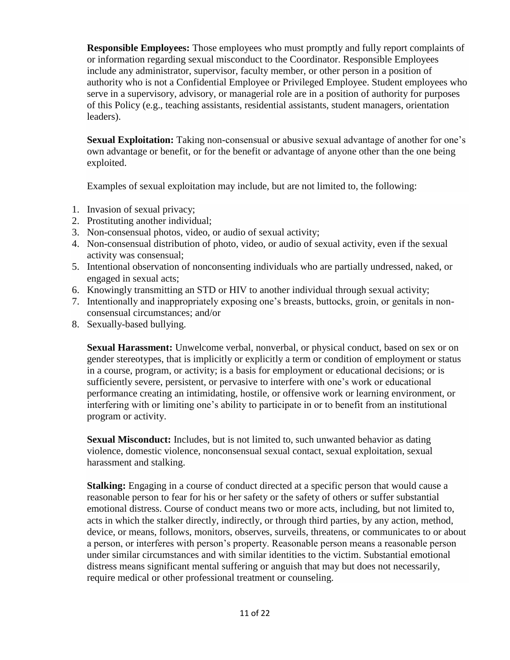**Responsible Employees:** Those employees who must promptly and fully report complaints of or information regarding sexual misconduct to the Coordinator. Responsible Employees include any administrator, supervisor, faculty member, or other person in a position of authority who is not a Confidential Employee or Privileged Employee. Student employees who serve in a supervisory, advisory, or managerial role are in a position of authority for purposes of this Policy (e.g., teaching assistants, residential assistants, student managers, orientation leaders).

**Sexual Exploitation:** Taking non-consensual or abusive sexual advantage of another for one's own advantage or benefit, or for the benefit or advantage of anyone other than the one being exploited.

Examples of sexual exploitation may include, but are not limited to, the following:

- 1. Invasion of sexual privacy;
- 2. Prostituting another individual;
- 3. Non-consensual photos, video, or audio of sexual activity;
- 4. Non-consensual distribution of photo, video, or audio of sexual activity, even if the sexual activity was consensual;
- 5. Intentional observation of nonconsenting individuals who are partially undressed, naked, or engaged in sexual acts;
- 6. Knowingly transmitting an STD or HIV to another individual through sexual activity;
- 7. Intentionally and inappropriately exposing one's breasts, buttocks, groin, or genitals in nonconsensual circumstances; and/or
- 8. Sexually-based bullying.

**Sexual Harassment:** Unwelcome verbal, nonverbal, or physical conduct, based on sex or on gender stereotypes, that is implicitly or explicitly a term or condition of employment or status in a course, program, or activity; is a basis for employment or educational decisions; or is sufficiently severe, persistent, or pervasive to interfere with one's work or educational performance creating an intimidating, hostile, or offensive work or learning environment, or interfering with or limiting one's ability to participate in or to benefit from an institutional program or activity.

**Sexual Misconduct:** Includes, but is not limited to, such unwanted behavior as dating violence, domestic violence, nonconsensual sexual contact, sexual exploitation, sexual harassment and stalking.

**Stalking:** Engaging in a course of conduct directed at a specific person that would cause a reasonable person to fear for his or her safety or the safety of others or suffer substantial emotional distress. Course of conduct means two or more acts, including, but not limited to, acts in which the stalker directly, indirectly, or through third parties, by any action, method, device, or means, follows, monitors, observes, surveils, threatens, or communicates to or about a person, or interferes with person's property. Reasonable person means a reasonable person under similar circumstances and with similar identities to the victim. Substantial emotional distress means significant mental suffering or anguish that may but does not necessarily, require medical or other professional treatment or counseling.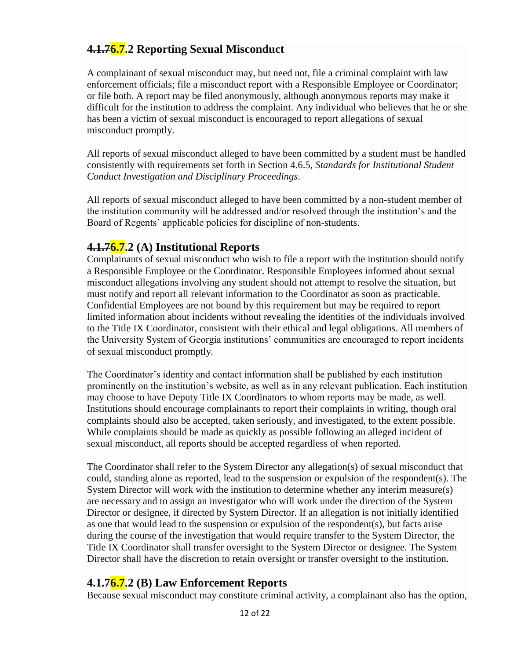# **4.1.76.7.2 Reporting Sexual Misconduct**

A complainant of sexual misconduct may, but need not, file a criminal complaint with law enforcement officials; file a misconduct report with a Responsible Employee or Coordinator; or file both. A report may be filed anonymously, although anonymous reports may make it difficult for the institution to address the complaint. Any individual who believes that he or she has been a victim of sexual misconduct is encouraged to report allegations of sexual misconduct promptly.

All reports of sexual misconduct alleged to have been committed by a student must be handled consistently with requirements set forth in Section 4.6.5, *Standards for Institutional Student Conduct Investigation and Disciplinary Proceedings*.

All reports of sexual misconduct alleged to have been committed by a non-student member of the institution community will be addressed and/or resolved through the institution's and the Board of Regents' applicable policies for discipline of non-students.

# **4.1.76.7.2 (A) Institutional Reports**

Complainants of sexual misconduct who wish to file a report with the institution should notify a Responsible Employee or the Coordinator. Responsible Employees informed about sexual misconduct allegations involving any student should not attempt to resolve the situation, but must notify and report all relevant information to the Coordinator as soon as practicable. Confidential Employees are not bound by this requirement but may be required to report limited information about incidents without revealing the identities of the individuals involved to the Title IX Coordinator, consistent with their ethical and legal obligations. All members of the University System of Georgia institutions' communities are encouraged to report incidents of sexual misconduct promptly.

The Coordinator's identity and contact information shall be published by each institution prominently on the institution's website, as well as in any relevant publication. Each institution may choose to have Deputy Title IX Coordinators to whom reports may be made, as well. Institutions should encourage complainants to report their complaints in writing, though oral complaints should also be accepted, taken seriously, and investigated, to the extent possible. While complaints should be made as quickly as possible following an alleged incident of sexual misconduct, all reports should be accepted regardless of when reported.

The Coordinator shall refer to the System Director any allegation(s) of sexual misconduct that could, standing alone as reported, lead to the suspension or expulsion of the respondent(s). The System Director will work with the institution to determine whether any interim measure(s) are necessary and to assign an investigator who will work under the direction of the System Director or designee, if directed by System Director. If an allegation is not initially identified as one that would lead to the suspension or expulsion of the respondent(s), but facts arise during the course of the investigation that would require transfer to the System Director, the Title IX Coordinator shall transfer oversight to the System Director or designee. The System Director shall have the discretion to retain oversight or transfer oversight to the institution.

# **4.1.76.7.2 (B) Law Enforcement Reports**

Because sexual misconduct may constitute criminal activity, a complainant also has the option,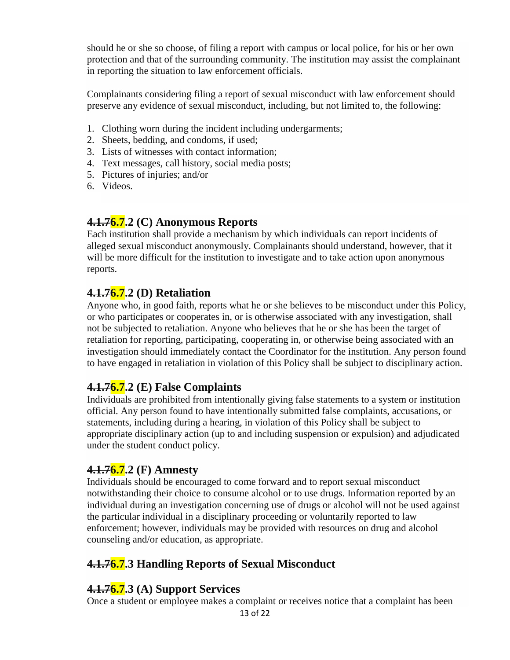should he or she so choose, of filing a report with campus or local police, for his or her own protection and that of the surrounding community. The institution may assist the complainant in reporting the situation to law enforcement officials.

Complainants considering filing a report of sexual misconduct with law enforcement should preserve any evidence of sexual misconduct, including, but not limited to, the following:

- 1. Clothing worn during the incident including undergarments;
- 2. Sheets, bedding, and condoms, if used;
- 3. Lists of witnesses with contact information;
- 4. Text messages, call history, social media posts;
- 5. Pictures of injuries; and/or
- 6. Videos.

# **4.1.76.7.2 (C) Anonymous Reports**

Each institution shall provide a mechanism by which individuals can report incidents of alleged sexual misconduct anonymously. Complainants should understand, however, that it will be more difficult for the institution to investigate and to take action upon anonymous reports.

# **4.1.76.7.2 (D) Retaliation**

Anyone who, in good faith, reports what he or she believes to be misconduct under this Policy, or who participates or cooperates in, or is otherwise associated with any investigation, shall not be subjected to retaliation. Anyone who believes that he or she has been the target of retaliation for reporting, participating, cooperating in, or otherwise being associated with an investigation should immediately contact the Coordinator for the institution. Any person found to have engaged in retaliation in violation of this Policy shall be subject to disciplinary action.

# **4.1.76.7.2 (E) False Complaints**

Individuals are prohibited from intentionally giving false statements to a system or institution official. Any person found to have intentionally submitted false complaints, accusations, or statements, including during a hearing, in violation of this Policy shall be subject to appropriate disciplinary action (up to and including suspension or expulsion) and adjudicated under the student conduct policy.

# **4.1.76.7.2 (F) Amnesty**

Individuals should be encouraged to come forward and to report sexual misconduct notwithstanding their choice to consume alcohol or to use drugs. Information reported by an individual during an investigation concerning use of drugs or alcohol will not be used against the particular individual in a disciplinary proceeding or voluntarily reported to law enforcement; however, individuals may be provided with resources on drug and alcohol counseling and/or education, as appropriate.

# **4.1.76.7.3 Handling Reports of Sexual Misconduct**

## **4.1.76.7.3 (A) Support Services**

Once a student or employee makes a complaint or receives notice that a complaint has been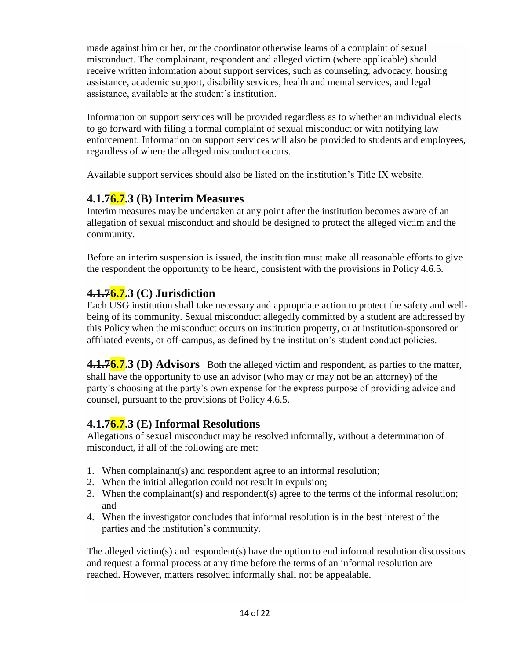made against him or her, or the coordinator otherwise learns of a complaint of sexual misconduct. The complainant, respondent and alleged victim (where applicable) should receive written information about support services, such as counseling, advocacy, housing assistance, academic support, disability services, health and mental services, and legal assistance, available at the student's institution.

Information on support services will be provided regardless as to whether an individual elects to go forward with filing a formal complaint of sexual misconduct or with notifying law enforcement. Information on support services will also be provided to students and employees, regardless of where the alleged misconduct occurs.

Available support services should also be listed on the institution's Title IX website.

# **4.1.76.7.3 (B) Interim Measures**

Interim measures may be undertaken at any point after the institution becomes aware of an allegation of sexual misconduct and should be designed to protect the alleged victim and the community.

Before an interim suspension is issued, the institution must make all reasonable efforts to give the respondent the opportunity to be heard, consistent with the provisions in Policy 4.6.5.

# **4.1.76.7.3 (C) Jurisdiction**

Each USG institution shall take necessary and appropriate action to protect the safety and wellbeing of its community. Sexual misconduct allegedly committed by a student are addressed by this Policy when the misconduct occurs on institution property, or at institution-sponsored or affiliated events, or off-campus, as defined by the institution's student conduct policies.

**4.1.76.7.3 (D) Advisors** Both the alleged victim and respondent, as parties to the matter, shall have the opportunity to use an advisor (who may or may not be an attorney) of the party's choosing at the party's own expense for the express purpose of providing advice and counsel, pursuant to the provisions of Policy 4.6.5.

# **4.1.76.7.3 (E) Informal Resolutions**

Allegations of sexual misconduct may be resolved informally, without a determination of misconduct, if all of the following are met:

- 1. When complainant(s) and respondent agree to an informal resolution;
- 2. When the initial allegation could not result in expulsion;
- 3. When the complainant(s) and respondent(s) agree to the terms of the informal resolution; and
- 4. When the investigator concludes that informal resolution is in the best interest of the parties and the institution's community.

The alleged victim(s) and respondent(s) have the option to end informal resolution discussions and request a formal process at any time before the terms of an informal resolution are reached. However, matters resolved informally shall not be appealable.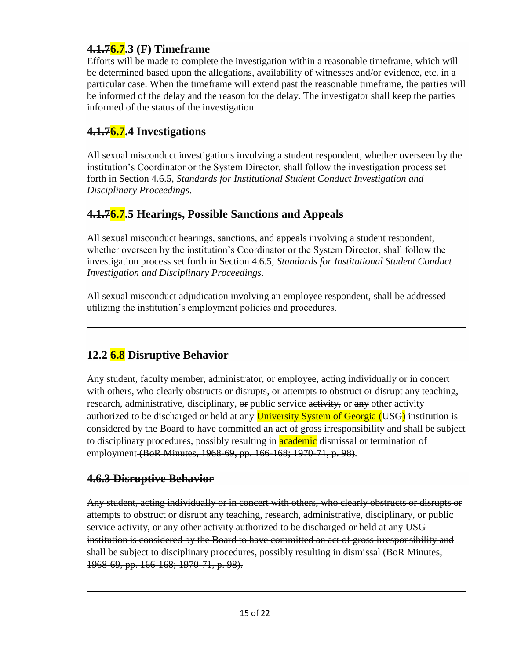# **4.1.76.7.3 (F) Timeframe**

Efforts will be made to complete the investigation within a reasonable timeframe, which will be determined based upon the allegations, availability of witnesses and/or evidence, etc. in a particular case. When the timeframe will extend past the reasonable timeframe, the parties will be informed of the delay and the reason for the delay. The investigator shall keep the parties informed of the status of the investigation.

# **4.1.76.7.4 Investigations**

All sexual misconduct investigations involving a student respondent, whether overseen by the institution's Coordinator or the System Director, shall follow the investigation process set forth in Section 4.6.5, *Standards for Institutional Student Conduct Investigation and Disciplinary Proceedings*.

# **4.1.76.7.5 Hearings, Possible Sanctions and Appeals**

All sexual misconduct hearings, sanctions, and appeals involving a student respondent, whether overseen by the institution's Coordinator or the System Director, shall follow the investigation process set forth in Section 4.6.5, *Standards for Institutional Student Conduct Investigation and Disciplinary Proceedings*.

All sexual misconduct adjudication involving an employee respondent, shall be addressed utilizing the institution's employment policies and procedures.

# **12.2 6.8 Disruptive Behavior**

Any student, faculty member, administrator, or employee, acting individually or in concert with others, who clearly obstructs or disrupts, or attempts to obstruct or disrupt any teaching, research, administrative, disciplinary,  $\Theta$  public service activity, or any other activity authorized to be discharged or held at any University System of Georgia (USG) institution is considered by the Board to have committed an act of gross irresponsibility and shall be subject to disciplinary procedures, possibly resulting in **academic** dismissal or termination of employment (BoR Minutes, 1968-69, pp. 166-168; 1970-71, p. 98).

# **4.6.3 Disruptive Behavior**

Any student, acting individually or in concert with others, who clearly obstructs or disrupts or attempts to obstruct or disrupt any teaching, research, administrative, disciplinary, or public service activity, or any other activity authorized to be discharged or held at any USG institution is considered by the Board to have committed an act of gross irresponsibility and shall be subject to disciplinary procedures, possibly resulting in dismissal (BoR Minutes, 1968-69, pp. 166-168; 1970-71, p. 98).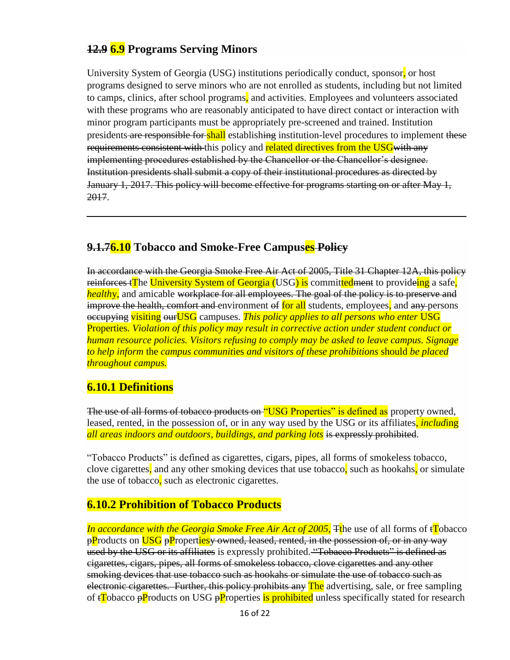# **12.9 6.9 Programs Serving Minors**

University System of Georgia (USG) institutions periodically conduct, sponsor, or host programs designed to serve minors who are not enrolled as students, including but not limited to camps, clinics, after school programs, and activities. Employees and volunteers associated with these programs who are reasonably anticipated to have direct contact or interaction with minor program participants must be appropriately pre-screened and trained. Institution presidents are responsible for shall establishing institution-level procedures to implement these requirements consistent with this policy and related directives from the USG with any implementing procedures established by the Chancellor or the Chancellor's designee. Institution presidents shall submit a copy of their institutional procedures as directed by January 1, 2017. This policy will become effective for programs starting on or after May 1, 2017.

# **9.1.76.10 Tobacco and Smoke-Free Campuses Policy**

In accordance with the Georgia Smoke Free Air Act of 2005, Title 31 Chapter 12A, this policy reinforces t**The University System of Georgia (USG) is** committed ment to provideing a safe, *healthy*, and amicable workplace for all employees. The goal of the policy is to preserve and improve the health, comfort and environment of for all students, employees, and any persons occupying visiting ourUSG campuses. *This policy applies to all persons who enter* USG Properties*. Violation of this policy may result in corrective action under student conduct or human resource policies. Visitors refusing to comply may be asked to leave campus. Signage to help inform* the *campus communit*ies *and visitors of these prohibitions* should *be placed throughout campus.*

# **6.10.1 Definitions**

The use of all forms of tobacco products on "USG Properties" is defined as property owned, leased, rented, in the possession of, or in any way used by the USG or its affiliates, *includ*ing *all areas indoors and outdoors, buildings, and parking lots* is expressly prohibited.

"Tobacco Products" is defined as cigarettes, cigars, pipes, all forms of smokeless tobacco, clove cigarettes, and any other smoking devices that use tobacco, such as hookahs, or simulate the use of tobacco, such as electronic cigarettes.

# **6.10.2 Prohibition of Tobacco Products**

*In accordance with the Georgia Smoke Free Air Act of 2005*, The use of all forms of  $\mathbf{t}$  Tobacco pProducts on USG pPropertiesy owned, leased, rented, in the possession of, or in any way used by the USG or its affiliates is expressly prohibited. "Tobacco Products" is defined as cigarettes, cigars, pipes, all forms of smokeless tobacco, clove cigarettes and any other smoking devices that use tobacco such as hookahs or simulate the use of tobacco such as electronic cigarettes. Further, this policy prohibits any The advertising, sale, or free sampling of t<sup>T</sup>obacco pProducts on USG pProperties is prohibited unless specifically stated for research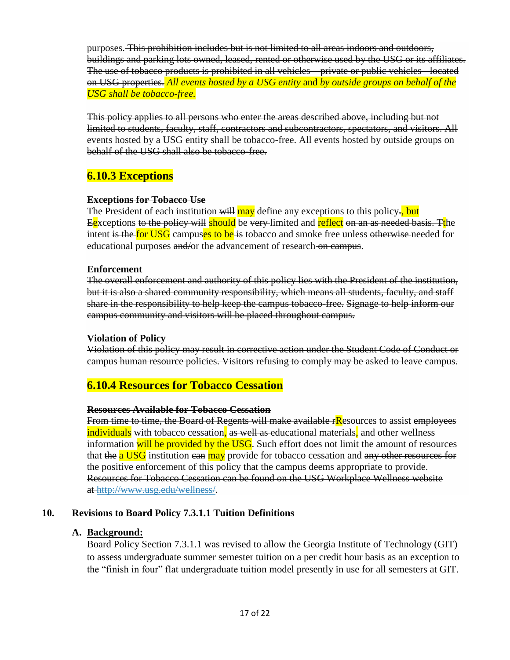purposes. This prohibition includes but is not limited to all areas indoors and outdoors, buildings and parking lots owned, leased, rented or otherwise used by the USG or its affiliates. The use of tobacco products is prohibited in all vehicles – private or public vehicles - located on USG properties. *All events hosted by a USG entity* and *by outside groups on behalf of the USG shall be tobacco-free.*

This policy applies to all persons who enter the areas described above, including but not limited to students, faculty, staff, contractors and subcontractors, spectators, and visitors. All events hosted by a USG entity shall be tobacco-free. All events hosted by outside groups on behalf of the USG shall also be tobacco-free.

# **6.10.3 Exceptions**

### **Exceptions for Tobacco Use**

The President of each institution will may define any exceptions to this policy., but Eexceptions <del>to the policy will</del> should be very-limited and reflect <del>on an as needed basis. T</del>the intent is the for USG campuses to be is tobacco and smoke free unless otherwise needed for educational purposes and/or the advancement of research on campus.

#### **Enforcement**

The overall enforcement and authority of this policy lies with the President of the institution, but it is also a shared community responsibility, which means all students, faculty, and staff share in the responsibility to help keep the campus tobacco-free. Signage to help inform our campus community and visitors will be placed throughout campus.

### **Violation of Policy**

Violation of this policy may result in corrective action under the Student Code of Conduct or campus human resource policies. Visitors refusing to comply may be asked to leave campus.

## **6.10.4 Resources for Tobacco Cessation**

### **Resources Available for Tobacco Cessation**

From time to time, the Board of Regents will make available rResources to assist employees individuals with tobacco cessation, as well as educational materials, and other wellness information will be provided by the USG. Such effort does not limit the amount of resources that the a USG institution can may provide for tobacco cessation and any other resources for the positive enforcement of this policy that the campus deems appropriate to provide. Resources for Tobacco Cessation can be found on the USG Workplace Wellness website at http://www.usg.edu/wellness/.

## **10. Revisions to Board Policy 7.3.1.1 Tuition Definitions**

### **A. Background:**

Board Policy Section 7.3.1.1 was revised to allow the Georgia Institute of Technology (GIT) to assess undergraduate summer semester tuition on a per credit hour basis as an exception to the "finish in four" flat undergraduate tuition model presently in use for all semesters at GIT.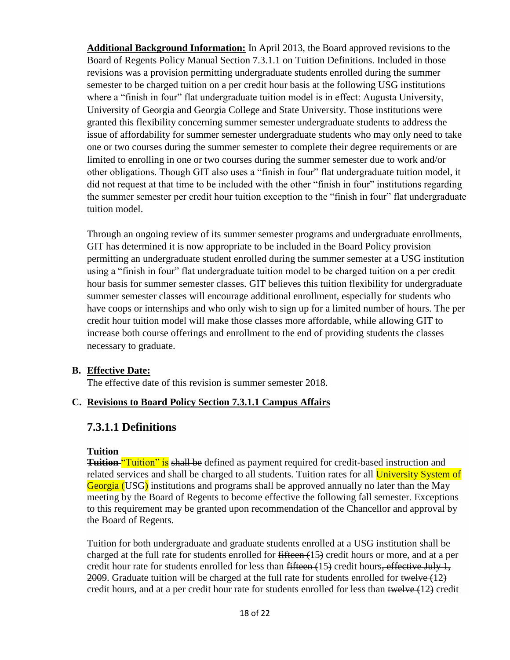**Additional Background Information:** In April 2013, the Board approved revisions to the Board of Regents Policy Manual Section 7.3.1.1 on Tuition Definitions. Included in those revisions was a provision permitting undergraduate students enrolled during the summer semester to be charged tuition on a per credit hour basis at the following USG institutions where a "finish in four" flat undergraduate tuition model is in effect: Augusta University, University of Georgia and Georgia College and State University. Those institutions were granted this flexibility concerning summer semester undergraduate students to address the issue of affordability for summer semester undergraduate students who may only need to take one or two courses during the summer semester to complete their degree requirements or are limited to enrolling in one or two courses during the summer semester due to work and/or other obligations. Though GIT also uses a "finish in four" flat undergraduate tuition model, it did not request at that time to be included with the other "finish in four" institutions regarding the summer semester per credit hour tuition exception to the "finish in four" flat undergraduate tuition model.

Through an ongoing review of its summer semester programs and undergraduate enrollments, GIT has determined it is now appropriate to be included in the Board Policy provision permitting an undergraduate student enrolled during the summer semester at a USG institution using a "finish in four" flat undergraduate tuition model to be charged tuition on a per credit hour basis for summer semester classes. GIT believes this tuition flexibility for undergraduate summer semester classes will encourage additional enrollment, especially for students who have coops or internships and who only wish to sign up for a limited number of hours. The per credit hour tuition model will make those classes more affordable, while allowing GIT to increase both course offerings and enrollment to the end of providing students the classes necessary to graduate.

## **B. Effective Date:**

The effective date of this revision is summer semester 2018.

### **C. Revisions to Board Policy Section 7.3.1.1 Campus Affairs**

## **7.3.1.1 Definitions**

### **Tuition**

**Tuition** "Tuition" is shall be defined as payment required for credit-based instruction and related services and shall be charged to all students. Tuition rates for all University System of Georgia (USG) institutions and programs shall be approved annually no later than the May meeting by the Board of Regents to become effective the following fall semester. Exceptions to this requirement may be granted upon recommendation of the Chancellor and approval by the Board of Regents.

Tuition for both undergraduate and graduate students enrolled at a USG institution shall be charged at the full rate for students enrolled for  $f$  fifteen  $(15)$  credit hours or more, and at a per credit hour rate for students enrolled for less than  $fifteen (15)$  credit hours, effective July 1, 2009. Graduate tuition will be charged at the full rate for students enrolled for twelve (12) credit hours, and at a per credit hour rate for students enrolled for less than twelve (12) credit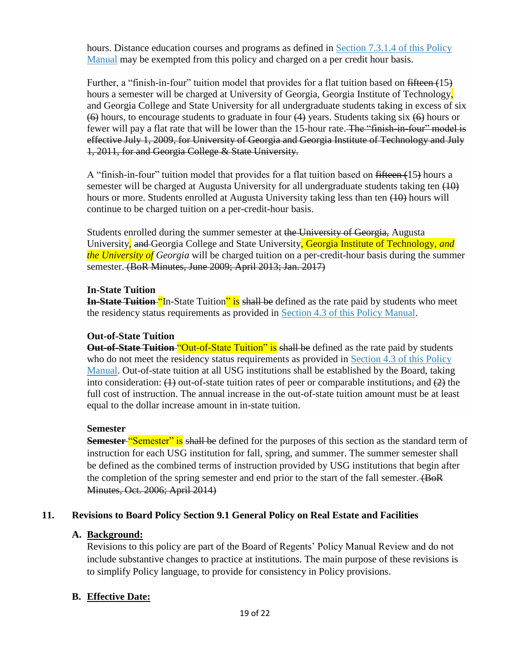hours. Distance education courses and programs as defined in Section 7.3.1.4 of this Policy Manual may be exempted from this policy and charged on a per credit hour basis.

Further, a "finish-in-four" tuition model that provides for a flat tuition based on fifteen (15) hours a semester will be charged at University of Georgia, Georgia Institute of Technology, and Georgia College and State University for all undergraduate students taking in excess of six  $(6)$  hours, to encourage students to graduate in four  $(4)$  years. Students taking six  $(6)$  hours or fewer will pay a flat rate that will be lower than the 15-hour rate. The "finish-in-four" model is effective July 1, 2009, for University of Georgia and Georgia Institute of Technology and July 1, 2011, for and Georgia College & State University.

A "finish-in-four" tuition model that provides for a flat tuition based on fifteen (15) hours a semester will be charged at Augusta University for all undergraduate students taking ten  $(10)$ hours or more. Students enrolled at Augusta University taking less than ten  $(10)$  hours will continue to be charged tuition on a per-credit-hour basis.

Students enrolled during the summer semester at the University of Georgia, Augusta University, and Georgia College and State University, Georgia Institute of Technology, *and the University of Georgia* will be charged tuition on a per-credit-hour basis during the summer semester. (BoR Minutes, June 2009; April 2013; Jan. 2017)

## **In-State Tuition**

**In-State Tuition "I**n-State Tuition" is shall be defined as the rate paid by students who meet the residency status requirements as provided in Section 4.3 of this Policy Manual.

## **Out-of-State Tuition**

**Out-of-State Tuition** "Out-of-State Tuition" is shall be defined as the rate paid by students who do not meet the residency status requirements as provided in Section 4.3 of this Policy Manual. Out-of-state tuition at all USG institutions shall be established by the Board, taking into consideration:  $(1)$  out-of-state tuition rates of peer or comparable institutions, and  $(2)$  the full cost of instruction. The annual increase in the out-of-state tuition amount must be at least equal to the dollar increase amount in in-state tuition.

### **Semester**

**Semester "Semester" is shall be defined for the purposes of this section as the standard term of** instruction for each USG institution for fall, spring, and summer. The summer semester shall be defined as the combined terms of instruction provided by USG institutions that begin after the completion of the spring semester and end prior to the start of the fall semester. (BoR Minutes, Oct. 2006; April 2014)

## **11. Revisions to Board Policy Section 9.1 General Policy on Real Estate and Facilities**

## **A. Background:**

Revisions to this policy are part of the Board of Regents' Policy Manual Review and do not include substantive changes to practice at institutions. The main purpose of these revisions is to simplify Policy language, to provide for consistency in Policy provisions.

## **B. Effective Date:**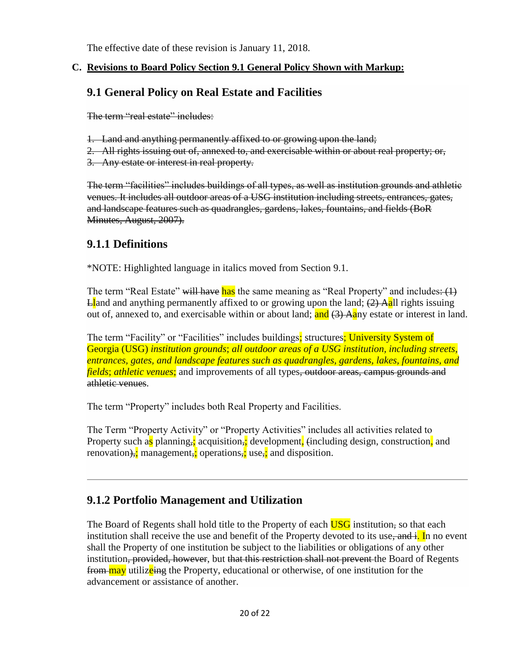The effective date of these revision is January 11, 2018.

## **C. Revisions to Board Policy Section 9.1 General Policy Shown with Markup:**

# **9.1 General Policy on Real Estate and Facilities**

The term "real estate" includes:

- 1. Land and anything permanently affixed to or growing upon the land;
- 2. All rights issuing out of, annexed to, and exercisable within or about real property; or,
- 3. Any estate or interest in real property.

The term "facilities" includes buildings of all types, as well as institution grounds and athletic venues. It includes all outdoor areas of a USG institution including streets, entrances, gates, and landscape features such as quadrangles, gardens, lakes, fountains, and fields (BoR Minutes, August, 2007).

# **9.1.1 Definitions**

\*NOTE: Highlighted language in italics moved from Section 9.1.

The term "Real Estate" will have has the same meaning as "Real Property" and includes:  $(1)$  $\text{E}$  and anything permanently affixed to or growing upon the land;  $(2)$  Aall rights issuing out of, annexed to, and exercisable within or about land; and  $(3)$  Aany estate or interest in land.

The term "Facility" or "Facilities" includes buildings; structures; University System of Georgia (USG) *institution grounds*; *all outdoor areas of a USG institution, including streets, entrances, gates, and landscape features such as quadrangles, gardens, lakes, fountains, and fields*; *athletic venues*; and improvements of all types, outdoor areas, campus grounds and athletic venues.

The term "Property" includes both Real Property and Facilities.

The Term "Property Activity" or "Property Activities" includes all activities related to Property such as planning,; acquisition,; development, (including design, construction, and renovation),; management,; operations,; use,; and disposition.

# **9.1.2 Portfolio Management and Utilization**

The Board of Regents shall hold title to the Property of each **USG** institution, so that each institution shall receive the use and benefit of the Property devoted to its use, and i. In no event shall the Property of one institution be subject to the liabilities or obligations of any other institution, provided, however, but that this restriction shall not prevent the Board of Regents from may utilizeing the Property, educational or otherwise, of one institution for the advancement or assistance of another.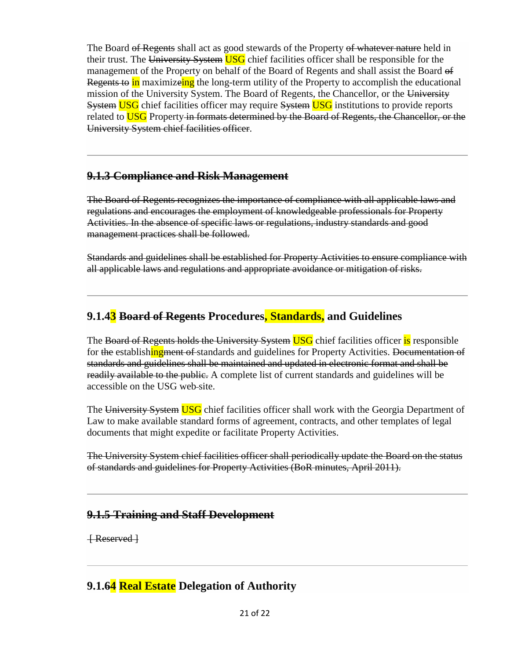The Board of Regents shall act as good stewards of the Property of whatever nature held in their trust. The University System USG chief facilities officer shall be responsible for the management of the Property on behalf of the Board of Regents and shall assist the Board of Regents to in maximizeing the long-term utility of the Property to accomplish the educational mission of the University System. The Board of Regents, the Chancellor, or the University System USG chief facilities officer may require System USG institutions to provide reports related to **USG** Property in formats determined by the Board of Regents, the Chancellor, or the University System chief facilities officer.

# **9.1.3 Compliance and Risk Management**

The Board of Regents recognizes the importance of compliance with all applicable laws and regulations and encourages the employment of knowledgeable professionals for Property Activities. In the absence of specific laws or regulations, industry standards and good management practices shall be followed.

Standards and guidelines shall be established for Property Activities to ensure compliance with all applicable laws and regulations and appropriate avoidance or mitigation of risks.

# **9.1.43 Board of Regents Procedures, Standards, and Guidelines**

The Board of Regents holds the University System USG chief facilities officer is responsible for the establishing ment of standards and guidelines for Property Activities. Documentation of standards and guidelines shall be maintained and updated in electronic format and shall be readily available to the public. A complete list of current standards and guidelines will be accessible on the USG web-site.

The University System USG chief facilities officer shall work with the Georgia Department of Law to make available standard forms of agreement, contracts, and other templates of legal documents that might expedite or facilitate Property Activities.

The University System chief facilities officer shall periodically update the Board on the status of standards and guidelines for Property Activities (BoR minutes, April 2011).

# **9.1.5 Training and Staff Development**

[ Reserved ]

# **9.1.64 Real Estate Delegation of Authority**